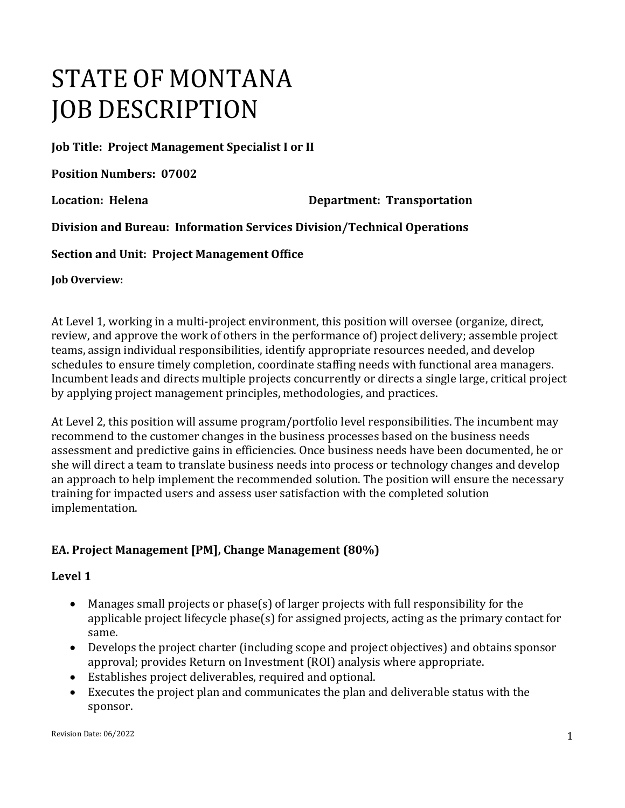# STATE OF MONTANA JOB DESCRIPTION

**Job Title: Project Management Specialist I or II**

**Position Numbers: 07002**

**Location: Helena Department: Transportation** 

**Division and Bureau: Information Services Division/Technical Operations**

**Section and Unit: Project Management Office**

**Job Overview:**

At Level 1, working in a multi-project environment, this position will oversee (organize, direct, review, and approve the work of others in the performance of) project delivery; assemble project teams, assign individual responsibilities, identify appropriate resources needed, and develop schedules to ensure timely completion, coordinate staffing needs with functional area managers. Incumbent leads and directs multiple projects concurrently or directs a single large, critical project by applying project management principles, methodologies, and practices.

At Level 2, this position will assume program/portfolio level responsibilities. The incumbent may recommend to the customer changes in the business processes based on the business needs assessment and predictive gains in efficiencies. Once business needs have been documented, he or she will direct a team to translate business needs into process or technology changes and develop an approach to help implement the recommended solution. The position will ensure the necessary training for impacted users and assess user satisfaction with the completed solution implementation.

# **EA. Project Management [PM], Change Management (80%)**

#### **Level 1**

- Manages small projects or phase(s) of larger projects with full responsibility for the applicable project lifecycle phase(s) for assigned projects, acting as the primary contact for same.
- Develops the project charter (including scope and project objectives) and obtains sponsor approval; provides Return on Investment (ROI) analysis where appropriate.
- Establishes project deliverables, required and optional.
- Executes the project plan and communicates the plan and deliverable status with the sponsor.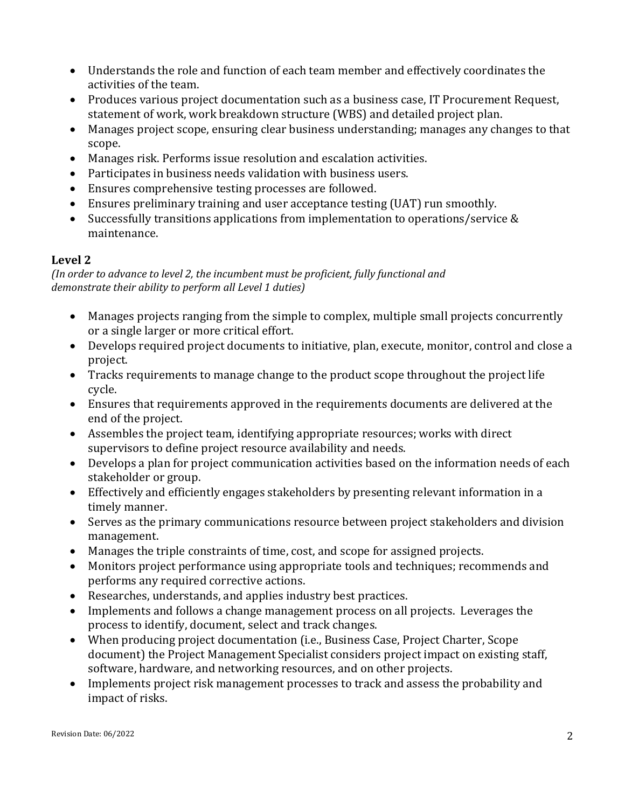- Understands the role and function of each team member and effectively coordinates the activities of the team.
- Produces various project documentation such as a business case, IT Procurement Request, statement of work, work breakdown structure (WBS) and detailed project plan.
- Manages project scope, ensuring clear business understanding; manages any changes to that scope.
- Manages risk. Performs issue resolution and escalation activities.
- Participates in business needs validation with business users.
- Ensures comprehensive testing processes are followed.
- Ensures preliminary training and user acceptance testing (UAT) run smoothly.
- Successfully transitions applications from implementation to operations/service & maintenance.

# **Level 2**

*(In order to advance to level 2, the incumbent must be proficient, fully functional and demonstrate their ability to perform all Level 1 duties)*

- Manages projects ranging from the simple to complex, multiple small projects concurrently or a single larger or more critical effort.
- Develops required project documents to initiative, plan, execute, monitor, control and close a project.
- Tracks requirements to manage change to the product scope throughout the project life cycle.
- Ensures that requirements approved in the requirements documents are delivered at the end of the project.
- Assembles the project team, identifying appropriate resources; works with direct supervisors to define project resource availability and needs.
- Develops a plan for project communication activities based on the information needs of each stakeholder or group.
- Effectively and efficiently engages stakeholders by presenting relevant information in a timely manner.
- Serves as the primary communications resource between project stakeholders and division management.
- Manages the triple constraints of time, cost, and scope for assigned projects.<br>• Monitors project performance using appropriate tools and techniques: recon
- Monitors project performance using appropriate tools and techniques; recommends and performs any required corrective actions.
- Researches, understands, and applies industry best practices.
- Implements and follows a change management process on all projects. Leverages the process to identify, document, select and track changes.
- When producing project documentation (i.e., Business Case, Project Charter, Scope document) the Project Management Specialist considers project impact on existing staff, software, hardware, and networking resources, and on other projects.
- Implements project risk management processes to track and assess the probability and impact of risks.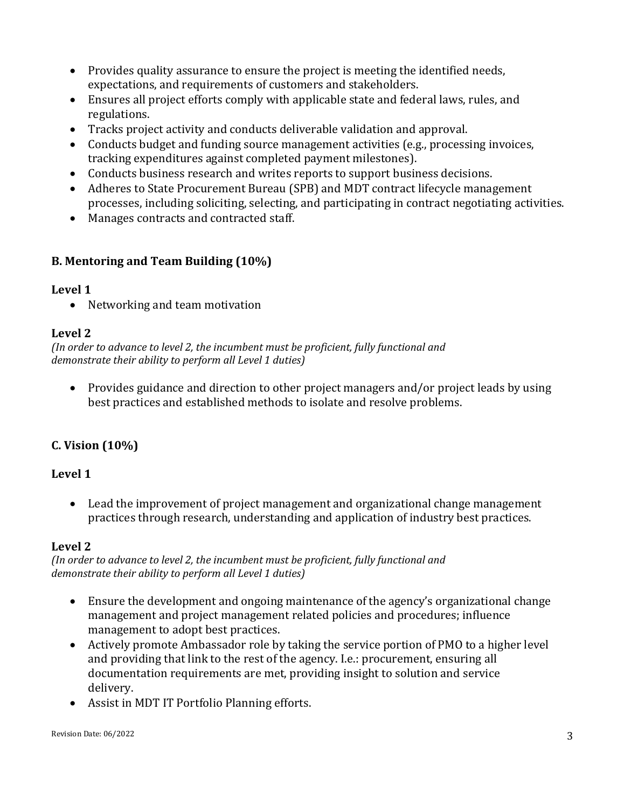- Provides quality assurance to ensure the project is meeting the identified needs, expectations, and requirements of customers and stakeholders.
- Ensures all project efforts comply with applicable state and federal laws, rules, and regulations.
- Tracks project activity and conducts deliverable validation and approval.
- Conducts budget and funding source management activities (e.g., processing invoices, tracking expenditures against completed payment milestones).
- Conducts business research and writes reports to support business decisions.
- Adheres to State Procurement Bureau (SPB) and MDT contract lifecycle management processes, including soliciting, selecting, and participating in contract negotiating activities.
- Manages contracts and contracted staff.

## **B. Mentoring and Team Building (10%)**

#### **Level 1**

• Networking and team motivation

## **Level 2**

*(In order to advance to level 2, the incumbent must be proficient, fully functional and demonstrate their ability to perform all Level 1 duties)*

• Provides guidance and direction to other project managers and/or project leads by using best practices and established methods to isolate and resolve problems.

# **C. Vision (10%)**

## **Level 1**

• Lead the improvement of project management and organizational change management practices through research, understanding and application of industry best practices.

## **Level 2**

*(In order to advance to level 2, the incumbent must be proficient, fully functional and demonstrate their ability to perform all Level 1 duties)*

- Ensure the development and ongoing maintenance of the agency's organizational change management and project management related policies and procedures; influence management to adopt best practices.
- Actively promote Ambassador role by taking the service portion of PMO to a higher level and providing that link to the rest of the agency. I.e.: procurement, ensuring all documentation requirements are met, providing insight to solution and service delivery.
- Assist in MDT IT Portfolio Planning efforts.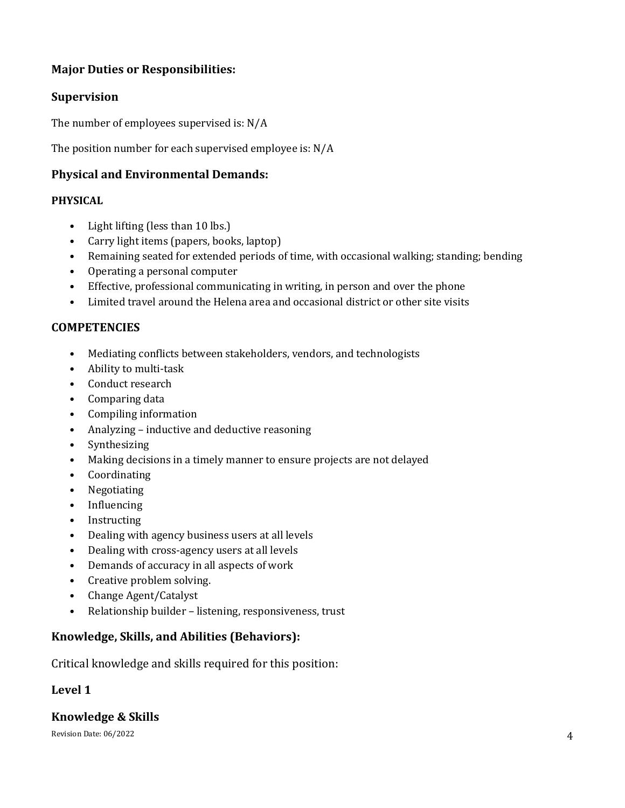# **Major Duties or Responsibilities:**

## **Supervision**

The number of employees supervised is: N/A

The position number for each supervised employee is: N/A

## **Physical and Environmental Demands:**

#### **PHYSICAL**

- Light lifting (less than 10 lbs.)
- Carry light items (papers, books, laptop)
- Remaining seated for extended periods of time, with occasional walking; standing; bending
- Operating a personal computer
- Effective, professional communicating in writing, in person and over the phone
- Limited travel around the Helena area and occasional district or other site visits

#### **COMPETENCIES**

- Mediating conflicts between stakeholders, vendors, and technologists
- Ability to multi-task
- Conduct research
- Comparing data
- Compiling information
- Analyzing inductive and deductive reasoning
- Synthesizing
- Making decisions in a timely manner to ensure projects are not delayed
- Coordinating
- Negotiating
- Influencing
- Instructing
- Dealing with agency business users at all levels
- Dealing with cross-agency users at all levels
- Demands of accuracy in all aspects of work
- Creative problem solving.
- Change Agent/Catalyst
- Relationship builder listening, responsiveness, trust

## **Knowledge, Skills, and Abilities (Behaviors):**

Critical knowledge and skills required for this position:

## **Level 1**

# **Knowledge & Skills**

Revision Date:  $06/2022$   $4$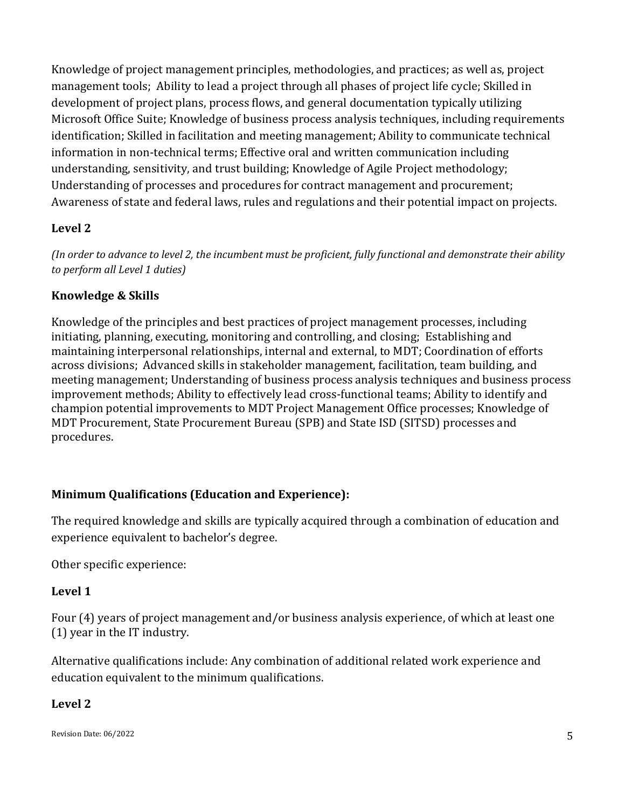Knowledge of project management principles, methodologies, and practices; as well as, project management tools; Ability to lead a project through all phases of project life cycle; Skilled in development of project plans, process flows, and general documentation typically utilizing Microsoft Office Suite; Knowledge of business process analysis techniques, including requirements identification; Skilled in facilitation and meeting management; Ability to communicate technical information in non-technical terms; Effective oral and written communication including understanding, sensitivity, and trust building; Knowledge of Agile Project methodology; Understanding of processes and procedures for contract management and procurement; Awareness of state and federal laws, rules and regulations and their potential impact on projects.

# **Level 2**

*(In order to advance to level 2, the incumbent must be proficient, fully functional and demonstrate their ability to perform all Level 1 duties)*

## **Knowledge & Skills**

Knowledge of the principles and best practices of project management processes, including initiating, planning, executing, monitoring and controlling, and closing; Establishing and maintaining interpersonal relationships, internal and external, to MDT; Coordination of efforts across divisions; Advanced skills in stakeholder management, facilitation, team building, and meeting management; Understanding of business process analysis techniques and business process improvement methods; Ability to effectively lead cross-functional teams; Ability to identify and champion potential improvements to MDT Project Management Office processes; Knowledge of MDT Procurement, State Procurement Bureau (SPB) and State ISD (SITSD) processes and procedures.

# **Minimum Qualifications (Education and Experience):**

The required knowledge and skills are typically acquired through a combination of education and experience equivalent to bachelor's degree.

Other specific experience:

# **Level 1**

Four (4) years of project management and/or business analysis experience, of which at least one (1) year in the IT industry.

Alternative qualifications include: Any combination of additional related work experience and education equivalent to the minimum qualifications.

# **Level 2**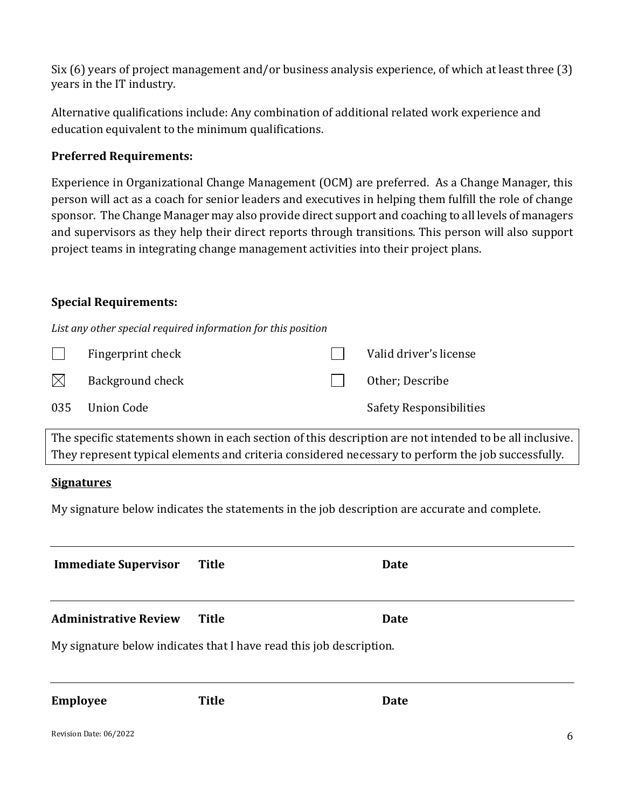Six (6) years of project management and/or business analysis experience, of which at least three (3) years in the IT industry.

Alternative qualifications include: Any combination of additional related work experience and education equivalent to the minimum qualifications.

## **Preferred Requirements:**

Experience in Organizational Change Management (OCM) are preferred. As a Change Manager, this person will act as a coach for senior leaders and executives in helping them fulfill the role of change sponsor. The Change Manager may also provide direct support and coaching to all levels of managers and supervisors as they help their direct reports through transitions. This person will also support project teams in integrating change management activities into their project plans.

## **Special Requirements:**

*List any other special required information for this position*

|             | Fingerprint check | Valid driver's license         |
|-------------|-------------------|--------------------------------|
| $\boxtimes$ | Background check  | Other; Describe                |
|             | 035 Union Code    | <b>Safety Responsibilities</b> |

The specific statements shown in each section of this description are not intended to be all inclusive. They represent typical elements and criteria considered necessary to perform the job successfully.

## **Signatures**

My signature below indicates the statements in the job description are accurate and complete.

| <b>Immediate Supervisor</b>                                         | <b>Title</b> | Date |  |  |  |
|---------------------------------------------------------------------|--------------|------|--|--|--|
| <b>Administrative Review</b>                                        | Title        | Date |  |  |  |
| My signature below indicates that I have read this job description. |              |      |  |  |  |

**Employee Title Date**